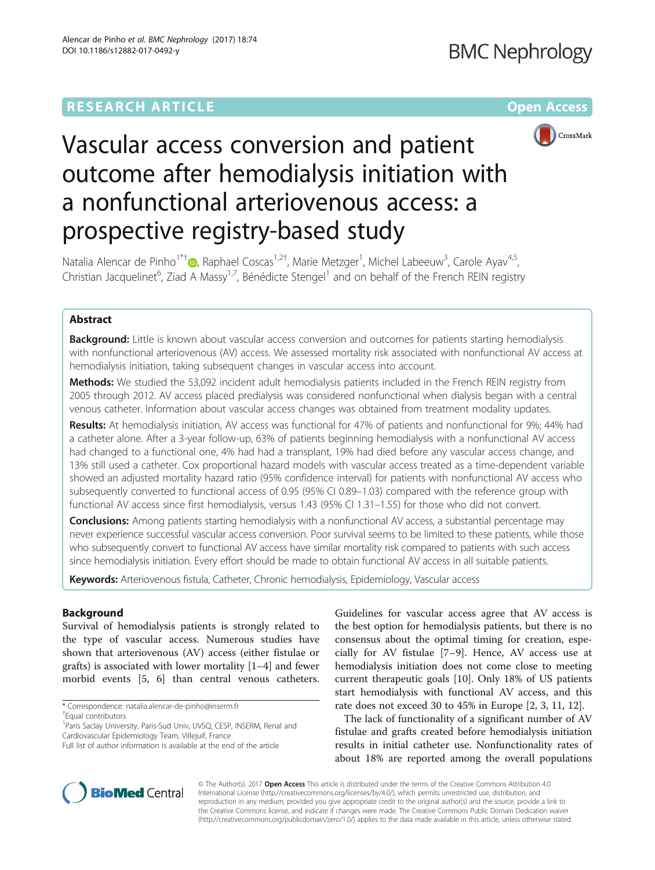# **RESEARCH ARTICLE External Structure Community Community Community Community Community Community Community Community**



# Vascular access conversion and patient outcome after hemodialysis initiation with a nonfunctional arteriovenous access: a prospective registry-based study

Natalia Alencar de Pinho<sup>1\*†</sup>®, Raphael Coscas<sup>1,2†</sup>, Marie Metzger<sup>1</sup>, Michel Labeeuw<sup>3</sup>, Carole Ayav<sup>4,5</sup>, Christian Jacquelinet<sup>6</sup>, Ziad A Massy<sup>1,7</sup>, Bénédicte Stengel<sup>1</sup> and on behalf of the French REIN registry

## Abstract

**Background:** Little is known about vascular access conversion and outcomes for patients starting hemodialysis with nonfunctional arteriovenous (AV) access. We assessed mortality risk associated with nonfunctional AV access at hemodialysis initiation, taking subsequent changes in vascular access into account.

Methods: We studied the 53,092 incident adult hemodialysis patients included in the French REIN registry from 2005 through 2012. AV access placed predialysis was considered nonfunctional when dialysis began with a central venous catheter. Information about vascular access changes was obtained from treatment modality updates.

Results: At hemodialysis initiation, AV access was functional for 47% of patients and nonfunctional for 9%; 44% had a catheter alone. After a 3-year follow-up, 63% of patients beginning hemodialysis with a nonfunctional AV access had changed to a functional one, 4% had had a transplant, 19% had died before any vascular access change, and 13% still used a catheter. Cox proportional hazard models with vascular access treated as a time-dependent variable showed an adjusted mortality hazard ratio (95% confidence interval) for patients with nonfunctional AV access who subsequently converted to functional access of 0.95 (95% CI 0.89–1.03) compared with the reference group with functional AV access since first hemodialysis, versus 1.43 (95% CI 1.31–1.55) for those who did not convert.

Conclusions: Among patients starting hemodialysis with a nonfunctional AV access, a substantial percentage may never experience successful vascular access conversion. Poor survival seems to be limited to these patients, while those who subsequently convert to functional AV access have similar mortality risk compared to patients with such access since hemodialysis initiation. Every effort should be made to obtain functional AV access in all suitable patients.

Keywords: Arteriovenous fistula, Catheter, Chronic hemodialysis, Epidemiology, Vascular access

## Background

Survival of hemodialysis patients is strongly related to the type of vascular access. Numerous studies have shown that arteriovenous (AV) access (either fistulae or grafts) is associated with lower mortality [[1](#page-9-0)–[4](#page-9-0)] and fewer morbid events [[5, 6](#page-9-0)] than central venous catheters.

\* Correspondence: [natalia.alencar-de-pinho@inserm.fr](mailto:natalia.alencar-de-pinho@inserm.fr) †

Guidelines for vascular access agree that AV access is the best option for hemodialysis patients, but there is no consensus about the optimal timing for creation, especially for AV fistulae [[7](#page-9-0)–[9](#page-9-0)]. Hence, AV access use at hemodialysis initiation does not come close to meeting current therapeutic goals [[10\]](#page-9-0). Only 18% of US patients start hemodialysis with functional AV access, and this rate does not exceed 30 to 45% in Europe [[2, 3, 11, 12](#page-9-0)].

The lack of functionality of a significant number of AV fistulae and grafts created before hemodialysis initiation results in initial catheter use. Nonfunctionality rates of about 18% are reported among the overall populations



© The Author(s). 2017 **Open Access** This article is distributed under the terms of the Creative Commons Attribution 4.0 International License [\(http://creativecommons.org/licenses/by/4.0/](http://creativecommons.org/licenses/by/4.0/)), which permits unrestricted use, distribution, and reproduction in any medium, provided you give appropriate credit to the original author(s) and the source, provide a link to the Creative Commons license, and indicate if changes were made. The Creative Commons Public Domain Dedication waiver [\(http://creativecommons.org/publicdomain/zero/1.0/](http://creativecommons.org/publicdomain/zero/1.0/)) applies to the data made available in this article, unless otherwise stated.

Equal contributors

<sup>&</sup>lt;sup>1</sup> Paris Saclay University, Paris-Sud Univ, UVSQ, CESP, INSERM, Renal and Cardiovascular Epidemiology Team, Villejuif, France

Full list of author information is available at the end of the article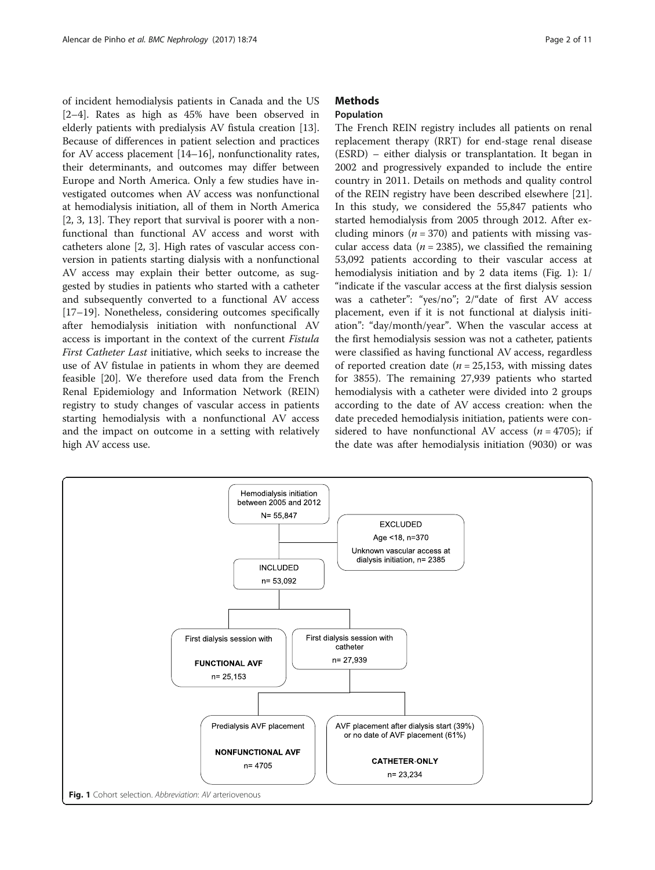of incident hemodialysis patients in Canada and the US [[2](#page-9-0)–[4\]](#page-9-0). Rates as high as 45% have been observed in elderly patients with predialysis AV fistula creation [\[13](#page-9-0)]. Because of differences in patient selection and practices for AV access placement [\[14](#page-9-0)–[16\]](#page-9-0), nonfunctionality rates, their determinants, and outcomes may differ between Europe and North America. Only a few studies have investigated outcomes when AV access was nonfunctional at hemodialysis initiation, all of them in North America [[2, 3, 13\]](#page-9-0). They report that survival is poorer with a nonfunctional than functional AV access and worst with catheters alone [\[2](#page-9-0), [3](#page-9-0)]. High rates of vascular access conversion in patients starting dialysis with a nonfunctional AV access may explain their better outcome, as suggested by studies in patients who started with a catheter and subsequently converted to a functional AV access [[17](#page-9-0)–[19](#page-9-0)]. Nonetheless, considering outcomes specifically after hemodialysis initiation with nonfunctional AV access is important in the context of the current Fistula First Catheter Last initiative, which seeks to increase the use of AV fistulae in patients in whom they are deemed feasible [[20](#page-9-0)]. We therefore used data from the French Renal Epidemiology and Information Network (REIN) registry to study changes of vascular access in patients starting hemodialysis with a nonfunctional AV access and the impact on outcome in a setting with relatively high AV access use.

## **Methods**

## Population

The French REIN registry includes all patients on renal replacement therapy (RRT) for end-stage renal disease (ESRD) – either dialysis or transplantation. It began in 2002 and progressively expanded to include the entire country in 2011. Details on methods and quality control of the REIN registry have been described elsewhere [\[21](#page-9-0)]. In this study, we considered the 55,847 patients who started hemodialysis from 2005 through 2012. After excluding minors ( $n = 370$ ) and patients with missing vascular access data ( $n = 2385$ ), we classified the remaining 53,092 patients according to their vascular access at hemodialysis initiation and by 2 data items (Fig. 1): 1/ "indicate if the vascular access at the first dialysis session was a catheter": "yes/no"; 2/"date of first AV access placement, even if it is not functional at dialysis initiation": "day/month/year". When the vascular access at the first hemodialysis session was not a catheter, patients were classified as having functional AV access, regardless of reported creation date ( $n = 25,153$ , with missing dates for 3855). The remaining 27,939 patients who started hemodialysis with a catheter were divided into 2 groups according to the date of AV access creation: when the date preceded hemodialysis initiation, patients were considered to have nonfunctional AV access  $(n = 4705)$ ; if the date was after hemodialysis initiation (9030) or was

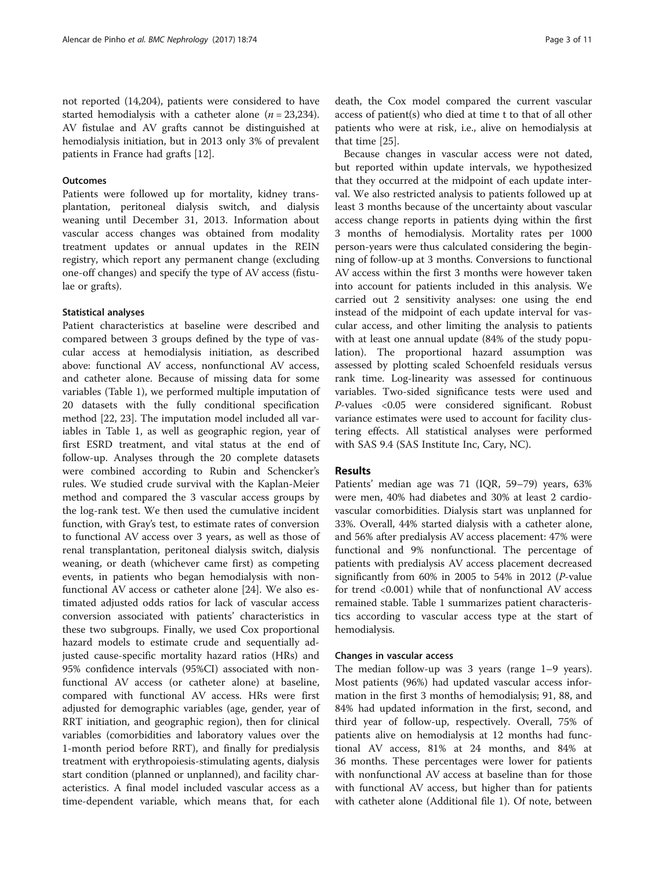## **Outcomes**

Patients were followed up for mortality, kidney transplantation, peritoneal dialysis switch, and dialysis weaning until December 31, 2013. Information about vascular access changes was obtained from modality treatment updates or annual updates in the REIN registry, which report any permanent change (excluding one-off changes) and specify the type of AV access (fistulae or grafts).

## Statistical analyses

Patient characteristics at baseline were described and compared between 3 groups defined by the type of vascular access at hemodialysis initiation, as described above: functional AV access, nonfunctional AV access, and catheter alone. Because of missing data for some variables (Table [1\)](#page-3-0), we performed multiple imputation of 20 datasets with the fully conditional specification method [\[22](#page-9-0), [23](#page-9-0)]. The imputation model included all variables in Table [1,](#page-3-0) as well as geographic region, year of first ESRD treatment, and vital status at the end of follow-up. Analyses through the 20 complete datasets were combined according to Rubin and Schencker's rules. We studied crude survival with the Kaplan-Meier method and compared the 3 vascular access groups by the log-rank test. We then used the cumulative incident function, with Gray's test, to estimate rates of conversion to functional AV access over 3 years, as well as those of renal transplantation, peritoneal dialysis switch, dialysis weaning, or death (whichever came first) as competing events, in patients who began hemodialysis with nonfunctional AV access or catheter alone [[24\]](#page-9-0). We also estimated adjusted odds ratios for lack of vascular access conversion associated with patients' characteristics in these two subgroups. Finally, we used Cox proportional hazard models to estimate crude and sequentially adjusted cause-specific mortality hazard ratios (HRs) and 95% confidence intervals (95%CI) associated with nonfunctional AV access (or catheter alone) at baseline, compared with functional AV access. HRs were first adjusted for demographic variables (age, gender, year of RRT initiation, and geographic region), then for clinical variables (comorbidities and laboratory values over the 1-month period before RRT), and finally for predialysis treatment with erythropoiesis-stimulating agents, dialysis start condition (planned or unplanned), and facility characteristics. A final model included vascular access as a time-dependent variable, which means that, for each

death, the Cox model compared the current vascular access of patient(s) who died at time t to that of all other patients who were at risk, i.e., alive on hemodialysis at that time [\[25\]](#page-9-0).

Because changes in vascular access were not dated, but reported within update intervals, we hypothesized that they occurred at the midpoint of each update interval. We also restricted analysis to patients followed up at least 3 months because of the uncertainty about vascular access change reports in patients dying within the first 3 months of hemodialysis. Mortality rates per 1000 person-years were thus calculated considering the beginning of follow-up at 3 months. Conversions to functional AV access within the first 3 months were however taken into account for patients included in this analysis. We carried out 2 sensitivity analyses: one using the end instead of the midpoint of each update interval for vascular access, and other limiting the analysis to patients with at least one annual update (84% of the study population). The proportional hazard assumption was assessed by plotting scaled Schoenfeld residuals versus rank time. Log-linearity was assessed for continuous variables. Two-sided significance tests were used and P-values <0.05 were considered significant. Robust variance estimates were used to account for facility clustering effects. All statistical analyses were performed with SAS 9.4 (SAS Institute Inc, Cary, NC).

## **Results**

Patients' median age was 71 (IQR, 59–79) years, 63% were men, 40% had diabetes and 30% at least 2 cardiovascular comorbidities. Dialysis start was unplanned for 33%. Overall, 44% started dialysis with a catheter alone, and 56% after predialysis AV access placement: 47% were functional and 9% nonfunctional. The percentage of patients with predialysis AV access placement decreased significantly from 60% in 2005 to 54% in 2012 (P-value for trend <0.001) while that of nonfunctional AV access remained stable. Table [1](#page-3-0) summarizes patient characteristics according to vascular access type at the start of hemodialysis.

## Changes in vascular access

The median follow-up was 3 years (range 1–9 years). Most patients (96%) had updated vascular access information in the first 3 months of hemodialysis; 91, 88, and 84% had updated information in the first, second, and third year of follow-up, respectively. Overall, 75% of patients alive on hemodialysis at 12 months had functional AV access, 81% at 24 months, and 84% at 36 months. These percentages were lower for patients with nonfunctional AV access at baseline than for those with functional AV access, but higher than for patients with catheter alone (Additional file [1](#page-8-0)). Of note, between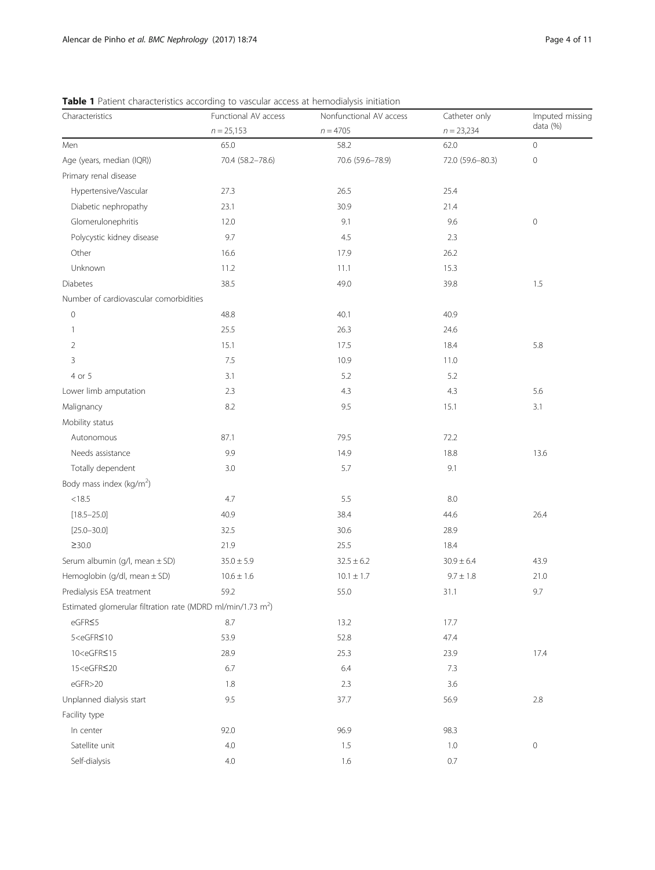| Characteristics                                                                    | Functional AV access<br>$n = 25,153$ | Nonfunctional AV access | Catheter only    | Imputed missing<br>data (%) |  |
|------------------------------------------------------------------------------------|--------------------------------------|-------------------------|------------------|-----------------------------|--|
|                                                                                    |                                      | $n = 4705$              | $n = 23,234$     |                             |  |
| Men                                                                                | 65.0                                 | 58.2                    | 62.0             | $\mathsf{O}\xspace$         |  |
| Age (years, median (IQR))                                                          | 70.4 (58.2-78.6)                     | 70.6 (59.6-78.9)        | 72.0 (59.6-80.3) | $\mathsf{O}\xspace$         |  |
| Primary renal disease                                                              |                                      |                         |                  |                             |  |
| Hypertensive/Vascular                                                              | 27.3                                 | 26.5                    | 25.4             |                             |  |
| Diabetic nephropathy                                                               | 23.1                                 | 30.9                    | 21.4             |                             |  |
| Glomerulonephritis                                                                 | 12.0                                 | 9.1                     | 9.6              | $\mathbf 0$                 |  |
| Polycystic kidney disease                                                          | 9.7                                  | 4.5                     | 2.3              |                             |  |
| Other                                                                              | 16.6                                 | 17.9                    | 26.2             |                             |  |
| Unknown                                                                            | 11.2                                 | 11.1                    | 15.3             |                             |  |
| <b>Diabetes</b>                                                                    | 38.5                                 | 49.0                    | 39.8             | 1.5                         |  |
| Number of cardiovascular comorbidities                                             |                                      |                         |                  |                             |  |
| $\mathbf 0$                                                                        | 48.8                                 | 40.1                    | 40.9             |                             |  |
| 1                                                                                  | 25.5                                 | 26.3                    | 24.6             |                             |  |
| 2                                                                                  | 15.1                                 | 17.5                    | 18.4             | 5.8                         |  |
| 3                                                                                  | 7.5                                  | 10.9                    | 11.0             |                             |  |
| 4 or 5                                                                             | 3.1                                  | 5.2                     | 5.2              |                             |  |
| Lower limb amputation                                                              | 2.3                                  | 4.3                     | 4.3              | 5.6                         |  |
| Malignancy                                                                         | 8.2                                  | 9.5                     | 15.1             | 3.1                         |  |
| Mobility status                                                                    |                                      |                         |                  |                             |  |
| Autonomous                                                                         | 87.1                                 | 79.5                    | 72.2             |                             |  |
| Needs assistance                                                                   | 9.9                                  | 14.9                    | 18.8             | 13.6                        |  |
| Totally dependent                                                                  | 3.0                                  | 5.7                     | 9.1              |                             |  |
| Body mass index (kg/m <sup>2</sup> )                                               |                                      |                         |                  |                             |  |
| < 18.5                                                                             | 4.7                                  | 5.5                     | 8.0              |                             |  |
| $[18.5 - 25.0]$                                                                    | 40.9                                 | 38.4                    | 44.6             | 26.4                        |  |
| $[25.0 - 30.0]$                                                                    | 32.5                                 | 30.6                    | 28.9             |                             |  |
| $\geq$ 30.0                                                                        | 21.9                                 | 25.5                    | 18.4             |                             |  |
| Serum albumin (g/l, mean ± SD)                                                     | $35.0 \pm 5.9$                       | $32.5 \pm 6.2$          | $30.9 \pm 6.4$   | 43.9                        |  |
| Hemoglobin (g/dl, mean $\pm$ SD)                                                   | $10.6 \pm 1.6$                       | $10.1 \pm 1.7$          | $9.7 \pm 1.8$    | 21.0                        |  |
| Predialysis ESA treatment                                                          | 59.2                                 | 55.0                    | 31.1             | 9.7                         |  |
| Estimated glomerular filtration rate (MDRD ml/min/1.73 m <sup>2</sup> )            |                                      |                         |                  |                             |  |
| eGFR≤5                                                                             | 8.7                                  | 13.2                    | 17.7             |                             |  |
| $5 < e$ GFR $\leq 10$                                                              | 53.9                                 | 52.8                    | 47.4             |                             |  |
| 10 <egfr≤15< td=""><td>28.9</td><td>25.3</td><td>23.9</td><td>17.4</td></egfr≤15<> | 28.9                                 | 25.3                    | 23.9             | 17.4                        |  |
| 15 <egfr≤20< td=""><td>6.7</td><td>6.4</td><td>7.3</td><td></td></egfr≤20<>        | 6.7                                  | 6.4                     | 7.3              |                             |  |
| eGFR>20                                                                            | 1.8                                  | 2.3                     | 3.6              |                             |  |
| Unplanned dialysis start                                                           | 9.5                                  | 37.7                    | 56.9             | 2.8                         |  |
| Facility type                                                                      |                                      |                         |                  |                             |  |
| In center                                                                          | 92.0                                 | 96.9                    | 98.3             |                             |  |
| Satellite unit                                                                     | 4.0                                  | 1.5                     | 1.0              | $\mathsf{O}\xspace$         |  |
| Self-dialysis                                                                      | $4.0\,$                              | 1.6                     | 0.7              |                             |  |

<span id="page-3-0"></span>Table 1 Patient characteristics according to vascular access at hemodialysis initiation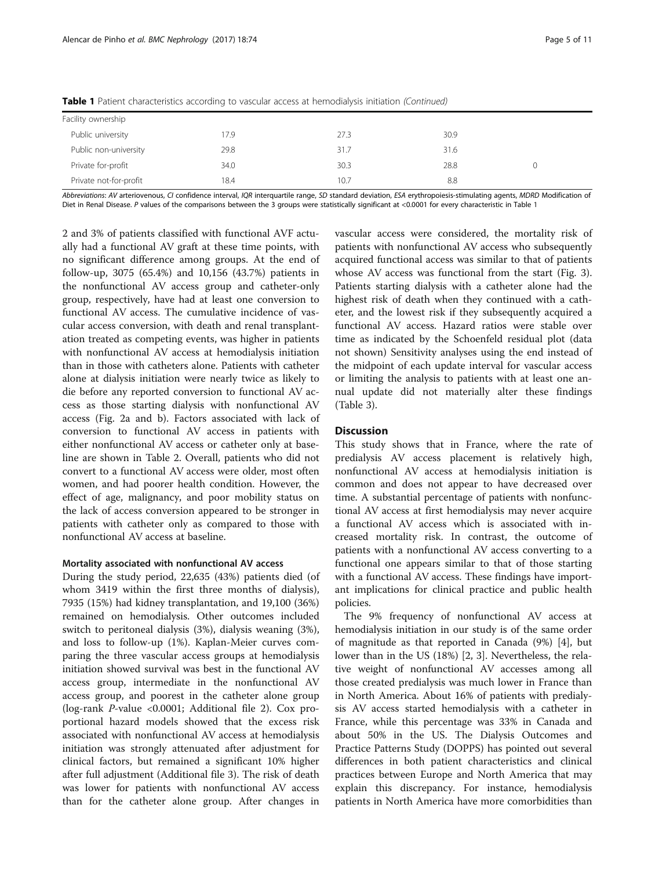|                        | $\tilde{\phantom{a}}$ |      |      |  |
|------------------------|-----------------------|------|------|--|
| Facility ownership     |                       |      |      |  |
| Public university      | 17.9                  | 27.3 | 30.9 |  |
| Public non-university  | 29.8                  | 31.7 | 31.6 |  |
| Private for-profit     | 34.0                  | 30.3 | 28.8 |  |
| Private not-for-profit | 18.4                  | 10.7 | 8.8  |  |

Table 1 Patient characteristics according to vascular access at hemodialysis initiation (Continued)

Abbreviations: AV arteriovenous, CI confidence interval, IOR interquartile range, SD standard deviation. ESA erythropoiesis-stimulating agents, MDRD Modification of Diet in Renal Disease. P values of the comparisons between the 3 groups were statistically significant at <0.0001 for every characteristic in Table [1](#page-3-0)

2 and 3% of patients classified with functional AVF actually had a functional AV graft at these time points, with no significant difference among groups. At the end of follow-up, 3075 (65.4%) and 10,156 (43.7%) patients in the nonfunctional AV access group and catheter-only group, respectively, have had at least one conversion to functional AV access. The cumulative incidence of vascular access conversion, with death and renal transplantation treated as competing events, was higher in patients with nonfunctional AV access at hemodialysis initiation than in those with catheters alone. Patients with catheter alone at dialysis initiation were nearly twice as likely to die before any reported conversion to functional AV access as those starting dialysis with nonfunctional AV access (Fig. [2a and b](#page-5-0)). Factors associated with lack of conversion to functional AV access in patients with either nonfunctional AV access or catheter only at baseline are shown in Table [2.](#page-6-0) Overall, patients who did not convert to a functional AV access were older, most often women, and had poorer health condition. However, the effect of age, malignancy, and poor mobility status on the lack of access conversion appeared to be stronger in patients with catheter only as compared to those with nonfunctional AV access at baseline.

## Mortality associated with nonfunctional AV access

During the study period, 22,635 (43%) patients died (of whom 3419 within the first three months of dialysis), 7935 (15%) had kidney transplantation, and 19,100 (36%) remained on hemodialysis. Other outcomes included switch to peritoneal dialysis (3%), dialysis weaning (3%), and loss to follow-up (1%). Kaplan-Meier curves comparing the three vascular access groups at hemodialysis initiation showed survival was best in the functional AV access group, intermediate in the nonfunctional AV access group, and poorest in the catheter alone group (log-rank P-value <0.0001; Additional file [2\)](#page-8-0). Cox proportional hazard models showed that the excess risk associated with nonfunctional AV access at hemodialysis initiation was strongly attenuated after adjustment for clinical factors, but remained a significant 10% higher after full adjustment (Additional file [3](#page-8-0)). The risk of death was lower for patients with nonfunctional AV access than for the catheter alone group. After changes in vascular access were considered, the mortality risk of patients with nonfunctional AV access who subsequently acquired functional access was similar to that of patients whose AV access was functional from the start (Fig. [3](#page-7-0)). Patients starting dialysis with a catheter alone had the highest risk of death when they continued with a catheter, and the lowest risk if they subsequently acquired a functional AV access. Hazard ratios were stable over time as indicated by the Schoenfeld residual plot (data not shown) Sensitivity analyses using the end instead of the midpoint of each update interval for vascular access or limiting the analysis to patients with at least one annual update did not materially alter these findings (Table [3\)](#page-8-0).

## **Discussion**

This study shows that in France, where the rate of predialysis AV access placement is relatively high, nonfunctional AV access at hemodialysis initiation is common and does not appear to have decreased over time. A substantial percentage of patients with nonfunctional AV access at first hemodialysis may never acquire a functional AV access which is associated with increased mortality risk. In contrast, the outcome of patients with a nonfunctional AV access converting to a functional one appears similar to that of those starting with a functional AV access. These findings have important implications for clinical practice and public health policies.

The 9% frequency of nonfunctional AV access at hemodialysis initiation in our study is of the same order of magnitude as that reported in Canada (9%) [\[4](#page-9-0)], but lower than in the US (18%) [\[2](#page-9-0), [3](#page-9-0)]. Nevertheless, the relative weight of nonfunctional AV accesses among all those created predialysis was much lower in France than in North America. About 16% of patients with predialysis AV access started hemodialysis with a catheter in France, while this percentage was 33% in Canada and about 50% in the US. The Dialysis Outcomes and Practice Patterns Study (DOPPS) has pointed out several differences in both patient characteristics and clinical practices between Europe and North America that may explain this discrepancy. For instance, hemodialysis patients in North America have more comorbidities than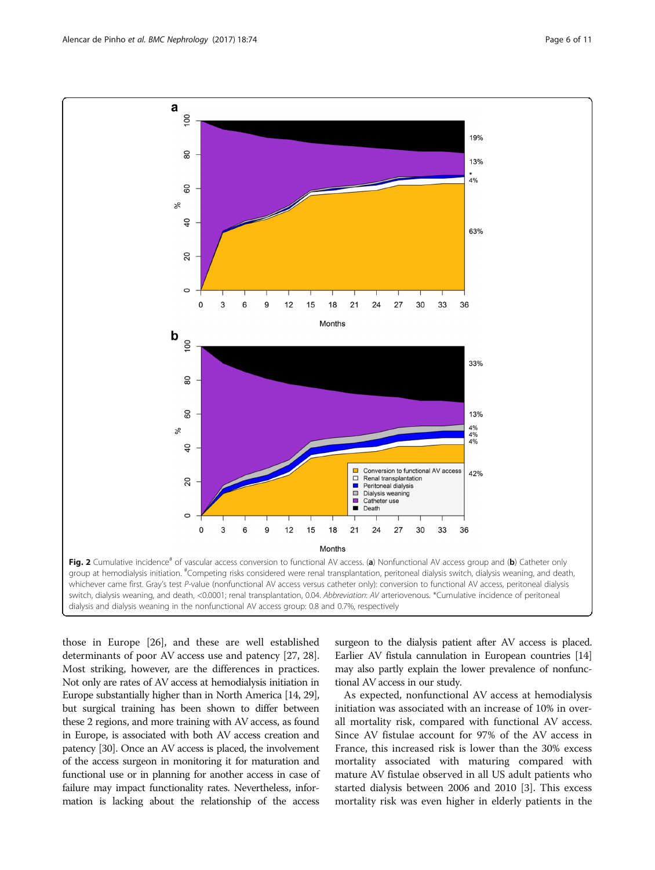those in Europe [\[26](#page-9-0)], and these are well established determinants of poor AV access use and patency [[27](#page-9-0), [28](#page-9-0)]. Most striking, however, are the differences in practices. Not only are rates of AV access at hemodialysis initiation in Europe substantially higher than in North America [\[14](#page-9-0), [29](#page-9-0)], but surgical training has been shown to differ between these 2 regions, and more training with AV access, as found in Europe, is associated with both AV access creation and patency [[30](#page-9-0)]. Once an AV access is placed, the involvement of the access surgeon in monitoring it for maturation and functional use or in planning for another access in case of failure may impact functionality rates. Nevertheless, information is lacking about the relationship of the access

surgeon to the dialysis patient after AV access is placed. Earlier AV fistula cannulation in European countries [\[14](#page-9-0)] may also partly explain the lower prevalence of nonfunctional AV access in our study.

As expected, nonfunctional AV access at hemodialysis initiation was associated with an increase of 10% in overall mortality risk, compared with functional AV access. Since AV fistulae account for 97% of the AV access in France, this increased risk is lower than the 30% excess mortality associated with maturing compared with mature AV fistulae observed in all US adult patients who started dialysis between 2006 and 2010 [[3\]](#page-9-0). This excess mortality risk was even higher in elderly patients in the



<span id="page-5-0"></span>a  $100$ 

80

60

19%

13%  $4%$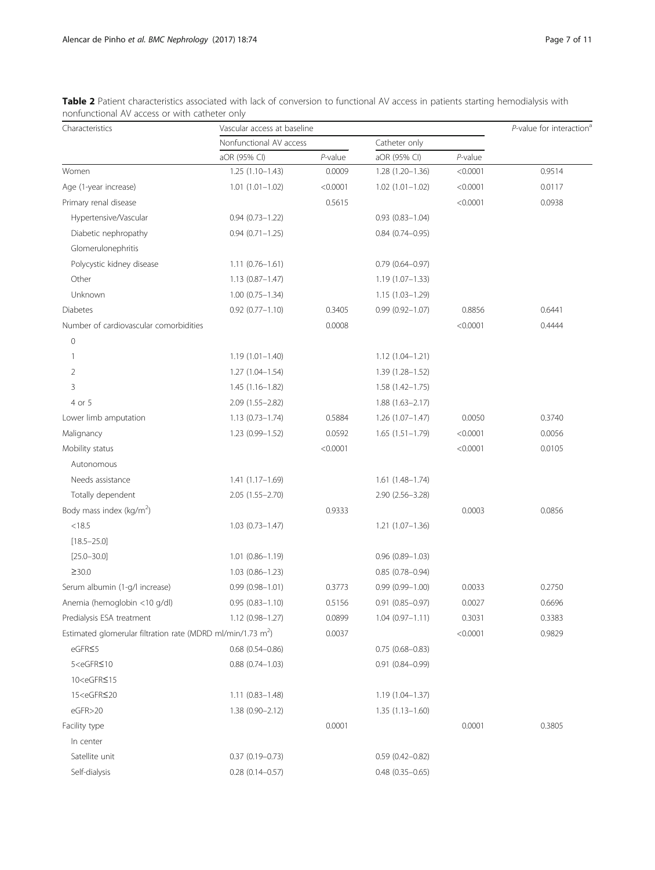| Characteristics                                                                                                                                      | Vascular access at baseline |            |                        |            | $P$ -value for interaction <sup>a</sup> |
|------------------------------------------------------------------------------------------------------------------------------------------------------|-----------------------------|------------|------------------------|------------|-----------------------------------------|
|                                                                                                                                                      | Nonfunctional AV access     |            | Catheter only          |            |                                         |
|                                                                                                                                                      | aOR (95% CI)                | $P$ -value | aOR (95% CI)           | $P$ -value |                                         |
| Women                                                                                                                                                | $1.25(1.10-1.43)$           | 0.0009     | $1.28(1.20-1.36)$      | < 0.0001   | 0.9514                                  |
| Age (1-year increase)                                                                                                                                | $1.01(1.01 - 1.02)$         | < 0.0001   | $1.02(1.01 - 1.02)$    | < 0.0001   | 0.0117                                  |
| Primary renal disease                                                                                                                                |                             | 0.5615     |                        | < 0.0001   | 0.0938                                  |
| Hypertensive/Vascular                                                                                                                                | $0.94(0.73 - 1.22)$         |            | $0.93(0.83 - 1.04)$    |            |                                         |
| Diabetic nephropathy                                                                                                                                 | $0.94(0.71 - 1.25)$         |            | $0.84(0.74 - 0.95)$    |            |                                         |
| Glomerulonephritis                                                                                                                                   |                             |            |                        |            |                                         |
| Polycystic kidney disease                                                                                                                            | $1.11(0.76 - 1.61)$         |            | $0.79(0.64 - 0.97)$    |            |                                         |
| Other                                                                                                                                                | $1.13(0.87 - 1.47)$         |            | $1.19(1.07 - 1.33)$    |            |                                         |
| Unknown                                                                                                                                              | $1.00(0.75 - 1.34)$         |            | $1.15(1.03 - 1.29)$    |            |                                         |
| Diabetes                                                                                                                                             | $0.92(0.77 - 1.10)$         | 0.3405     | $0.99(0.92 - 1.07)$    | 0.8856     | 0.6441                                  |
| Number of cardiovascular comorbidities                                                                                                               |                             | 0.0008     |                        | < 0.0001   | 0.4444                                  |
| $\mathbf{0}$                                                                                                                                         |                             |            |                        |            |                                         |
| 1                                                                                                                                                    | $1.19(1.01 - 1.40)$         |            | $1.12(1.04 - 1.21)$    |            |                                         |
| $\overline{2}$                                                                                                                                       | $1.27(1.04 - 1.54)$         |            | $1.39(1.28 - 1.52)$    |            |                                         |
| 3                                                                                                                                                    | $1.45(1.16-1.82)$           |            | $1.58(1.42 - 1.75)$    |            |                                         |
| 4 or 5                                                                                                                                               | 2.09 (1.55-2.82)            |            | $1.88(1.63 - 2.17)$    |            |                                         |
| Lower limb amputation                                                                                                                                | $1.13(0.73 - 1.74)$         | 0.5884     | $1.26(1.07-1.47)$      | 0.0050     | 0.3740                                  |
| Malignancy                                                                                                                                           | $1.23(0.99 - 1.52)$         | 0.0592     | $1.65(1.51-1.79)$      | < 0.0001   | 0.0056                                  |
| Mobility status                                                                                                                                      |                             | < 0.0001   |                        | < 0.0001   | 0.0105                                  |
| Autonomous                                                                                                                                           |                             |            |                        |            |                                         |
| Needs assistance                                                                                                                                     | $1.41(1.17-1.69)$           |            | $1.61(1.48-1.74)$      |            |                                         |
| Totally dependent                                                                                                                                    | $2.05(1.55 - 2.70)$         |            | $2.90(2.56 - 3.28)$    |            |                                         |
| Body mass index (kg/m <sup>2</sup> )                                                                                                                 |                             | 0.9333     |                        | 0.0003     | 0.0856                                  |
| < 18.5                                                                                                                                               | $1.03(0.73 - 1.47)$         |            | $1.21(1.07-1.36)$      |            |                                         |
| $[18.5 - 25.0]$                                                                                                                                      |                             |            |                        |            |                                         |
| $[25.0 - 30.0]$                                                                                                                                      | $1.01(0.86 - 1.19)$         |            | $0.96(0.89 - 1.03)$    |            |                                         |
| $\geq$ 30.0                                                                                                                                          | $1.03(0.86 - 1.23)$         |            | $0.85(0.78 - 0.94)$    |            |                                         |
| Serum albumin (1-g/l increase)                                                                                                                       | $0.99(0.98 - 1.01)$         | 0.3773     | $0.99(0.99 - 1.00)$    | 0.0033     | 0.2750                                  |
| Anemia (hemoglobin <10 g/dl)                                                                                                                         | $0.95(0.83 - 1.10)$         | 0.5156     | $0.91(0.85 - 0.97)$    | 0.0027     | 0.6696                                  |
| Predialysis ESA treatment                                                                                                                            | 1.12 (0.98-1.27)            | 0.0899     | $1.04(0.97 - 1.11)$    | 0.3031     | 0.3383                                  |
| Estimated glomerular filtration rate (MDRD ml/min/1.73 m <sup>2</sup> )                                                                              |                             | 0.0037     |                        | < 0.0001   | 0.9829                                  |
| eGFR≤5                                                                                                                                               | $0.68$ $(0.54 - 0.86)$      |            | $0.75(0.68 - 0.83)$    |            |                                         |
| 5 <egfr≤10< td=""><td><math>0.88</math> <math>(0.74 - 1.03)</math></td><td></td><td><math>0.91(0.84 - 0.99)</math></td><td></td><td></td></egfr≤10<> | $0.88$ $(0.74 - 1.03)$      |            | $0.91(0.84 - 0.99)$    |            |                                         |
| 10 <egfr≤15< td=""><td></td><td></td><td></td><td></td><td></td></egfr≤15<>                                                                          |                             |            |                        |            |                                         |
| 15 <egfr≤20< td=""><td><math>1.11(0.83 - 1.48)</math></td><td></td><td>1.19 (1.04-1.37)</td><td></td><td></td></egfr≤20<>                            | $1.11(0.83 - 1.48)$         |            | 1.19 (1.04-1.37)       |            |                                         |
| eGFR>20                                                                                                                                              | $1.38(0.90 - 2.12)$         |            | $1.35(1.13 - 1.60)$    |            |                                         |
| Facility type                                                                                                                                        |                             | 0.0001     |                        | 0.0001     | 0.3805                                  |
| In center                                                                                                                                            |                             |            |                        |            |                                         |
| Satellite unit                                                                                                                                       | $0.37(0.19 - 0.73)$         |            | $0.59(0.42 - 0.82)$    |            |                                         |
| Self-dialysis                                                                                                                                        | $0.28(0.14 - 0.57)$         |            | $0.48$ $(0.35 - 0.65)$ |            |                                         |

<span id="page-6-0"></span>Table 2 Patient characteristics associated with lack of conversion to functional AV access in patients starting hemodialysis with nonfunctional AV access or with catheter only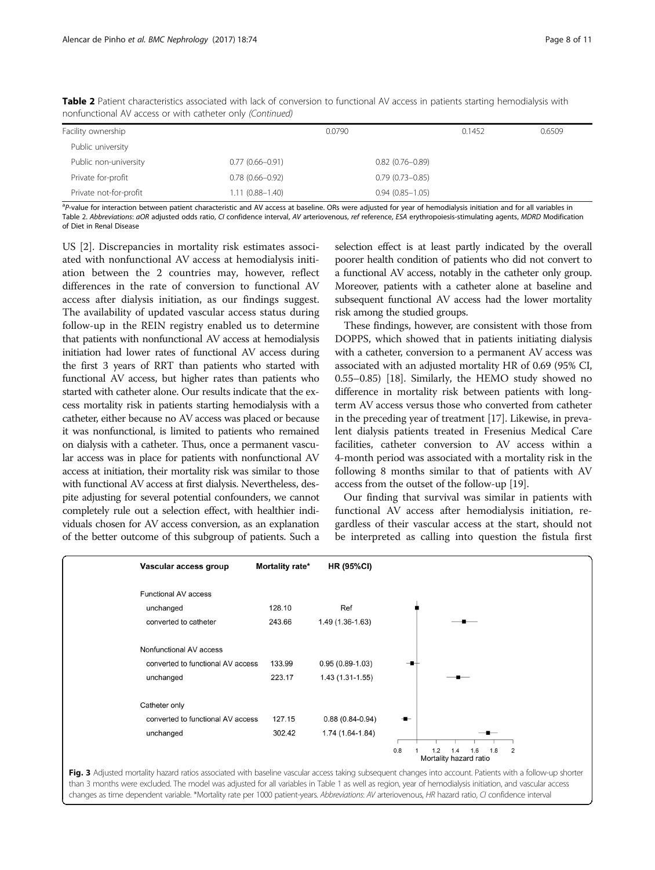| Facility ownership     |                     | 0.0790              | 0.1452 | 0.6509 |
|------------------------|---------------------|---------------------|--------|--------|
| Public university      |                     |                     |        |        |
| Public non-university  | $0.77(0.66 - 0.91)$ | $0.82(0.76 - 0.89)$ |        |        |
| Private for-profit     | $0.78(0.66 - 0.92)$ | $0.79(0.73 - 0.85)$ |        |        |
| Private not-for-profit | $1.11(0.88 - 1.40)$ | $0.94(0.85 - 1.05)$ |        |        |

<span id="page-7-0"></span>Table 2 Patient characteristics associated with lack of conversion to functional AV access in patients starting hemodialysis with nonfunctional AV access or with catheter only (Continued)

<sup>a</sup>P-value for interaction between patient characteristic and AV access at baseline. ORs were adjusted for year of hemodialysis initiation and for all variables in<br>Table 2. Abbreviations: aOP adjusted odds ratio. CL confid Table [2](#page-6-0). Abbreviations: aOR adjusted odds ratio, CI confidence interval, AV arteriovenous, ref reference, ESA erythropoiesis-stimulating agents, MDRD Modification of Diet in Renal Disease

US [[2\]](#page-9-0). Discrepancies in mortality risk estimates associated with nonfunctional AV access at hemodialysis initiation between the 2 countries may, however, reflect differences in the rate of conversion to functional AV access after dialysis initiation, as our findings suggest. The availability of updated vascular access status during follow-up in the REIN registry enabled us to determine that patients with nonfunctional AV access at hemodialysis initiation had lower rates of functional AV access during the first 3 years of RRT than patients who started with functional AV access, but higher rates than patients who started with catheter alone. Our results indicate that the excess mortality risk in patients starting hemodialysis with a catheter, either because no AV access was placed or because it was nonfunctional, is limited to patients who remained on dialysis with a catheter. Thus, once a permanent vascular access was in place for patients with nonfunctional AV access at initiation, their mortality risk was similar to those with functional AV access at first dialysis. Nevertheless, despite adjusting for several potential confounders, we cannot completely rule out a selection effect, with healthier individuals chosen for AV access conversion, as an explanation of the better outcome of this subgroup of patients. Such a selection effect is at least partly indicated by the overall poorer health condition of patients who did not convert to a functional AV access, notably in the catheter only group. Moreover, patients with a catheter alone at baseline and subsequent functional AV access had the lower mortality risk among the studied groups.

These findings, however, are consistent with those from DOPPS, which showed that in patients initiating dialysis with a catheter, conversion to a permanent AV access was associated with an adjusted mortality HR of 0.69 (95% CI, 0.55–0.85) [\[18](#page-9-0)]. Similarly, the HEMO study showed no difference in mortality risk between patients with longterm AV access versus those who converted from catheter in the preceding year of treatment [[17](#page-9-0)]. Likewise, in prevalent dialysis patients treated in Fresenius Medical Care facilities, catheter conversion to AV access within a 4-month period was associated with a mortality risk in the following 8 months similar to that of patients with AV access from the outset of the follow-up [\[19\]](#page-9-0).

Our finding that survival was similar in patients with functional AV access after hemodialysis initiation, regardless of their vascular access at the start, should not be interpreted as calling into question the fistula first



Fig. 3 Adjusted mortality hazard ratios associated with baseline vascular access taking subsequent changes into account. Patients with a follow-up shorter than 3 months were excluded. The model was adjusted for all variables in Table [1](#page-3-0) as well as region, year of hemodialysis initiation, and vascular access changes as time dependent variable. \*Mortality rate per 1000 patient-years. Abbreviations: AV arteriovenous, HR hazard ratio, CI confidence interval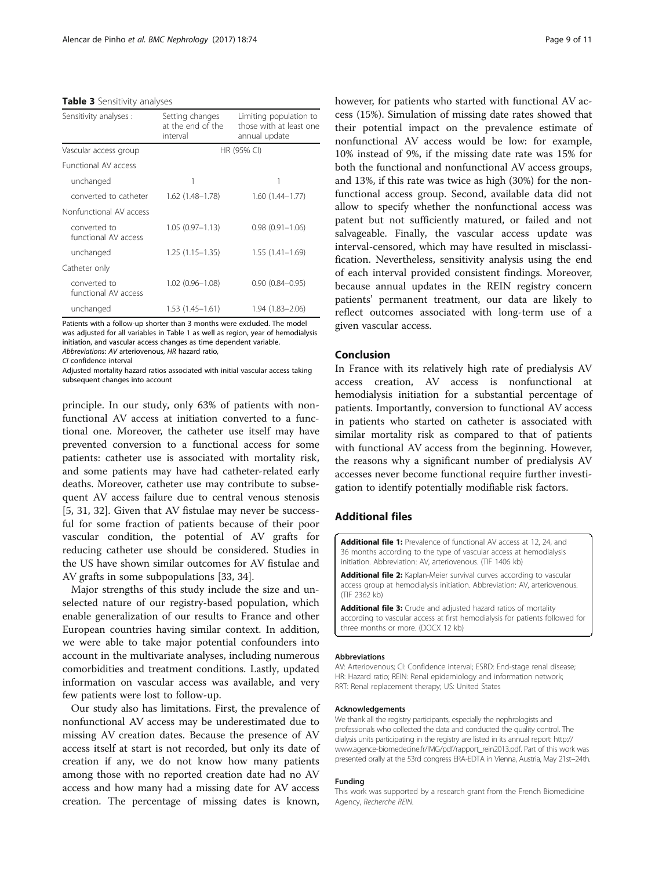#### <span id="page-8-0"></span>Table 3 Sensitivity analyses

| Sensitivity analyses :               | Setting changes<br>at the end of the<br>interval | Limiting population to<br>those with at least one<br>annual update |  |  |
|--------------------------------------|--------------------------------------------------|--------------------------------------------------------------------|--|--|
| Vascular access group                | HR (95% CI)                                      |                                                                    |  |  |
| <b>Functional AV access</b>          |                                                  |                                                                    |  |  |
| unchanged                            | 1                                                |                                                                    |  |  |
| converted to catheter                | 1.62 (1.48–1.78)                                 | $1.60(1.44 - 1.77)$                                                |  |  |
| Nonfunctional AV access              |                                                  |                                                                    |  |  |
| converted to<br>functional AV access | $1.05(0.97 - 1.13)$                              | $0.98(0.91 - 1.06)$                                                |  |  |
| unchanged                            | $1.25(1.15 - 1.35)$                              | $1.55(1.41 - 1.69)$                                                |  |  |
| Catheter only                        |                                                  |                                                                    |  |  |
| converted to<br>functional AV access | $1.02(0.96 - 1.08)$                              | $0.90(0.84 - 0.95)$                                                |  |  |
| unchanged                            | $1.53(1.45 - 1.61)$                              | $1.94(1.83 - 2.06)$                                                |  |  |

Patients with a follow-up shorter than 3 months were excluded. The model was adjusted for all variables in Table [1](#page-3-0) as well as region, year of hemodialysis initiation, and vascular access changes as time dependent variable. Abbreviations: AV arteriovenous, HR hazard ratio, CI confidence interval

CI confidence interval Adjusted mortality hazard ratios associated with initial vascular access taking subsequent changes into account

principle. In our study, only 63% of patients with nonfunctional AV access at initiation converted to a functional one. Moreover, the catheter use itself may have prevented conversion to a functional access for some patients: catheter use is associated with mortality risk, and some patients may have had catheter-related early deaths. Moreover, catheter use may contribute to subsequent AV access failure due to central venous stenosis [[5, 31,](#page-9-0) [32](#page-10-0)]. Given that AV fistulae may never be successful for some fraction of patients because of their poor vascular condition, the potential of AV grafts for reducing catheter use should be considered. Studies in the US have shown similar outcomes for AV fistulae and AV grafts in some subpopulations [\[33, 34\]](#page-10-0).

Major strengths of this study include the size and unselected nature of our registry-based population, which enable generalization of our results to France and other European countries having similar context. In addition, we were able to take major potential confounders into account in the multivariate analyses, including numerous comorbidities and treatment conditions. Lastly, updated information on vascular access was available, and very few patients were lost to follow-up.

Our study also has limitations. First, the prevalence of nonfunctional AV access may be underestimated due to missing AV creation dates. Because the presence of AV access itself at start is not recorded, but only its date of creation if any, we do not know how many patients among those with no reported creation date had no AV access and how many had a missing date for AV access creation. The percentage of missing dates is known,

however, for patients who started with functional AV access (15%). Simulation of missing date rates showed that their potential impact on the prevalence estimate of nonfunctional AV access would be low: for example, 10% instead of 9%, if the missing date rate was 15% for both the functional and nonfunctional AV access groups, and 13%, if this rate was twice as high (30%) for the nonfunctional access group. Second, available data did not allow to specify whether the nonfunctional access was patent but not sufficiently matured, or failed and not salvageable. Finally, the vascular access update was interval-censored, which may have resulted in misclassification. Nevertheless, sensitivity analysis using the end of each interval provided consistent findings. Moreover, because annual updates in the REIN registry concern patients' permanent treatment, our data are likely to reflect outcomes associated with long-term use of a given vascular access.

## Conclusion

In France with its relatively high rate of predialysis AV access creation, AV access is nonfunctional at hemodialysis initiation for a substantial percentage of patients. Importantly, conversion to functional AV access in patients who started on catheter is associated with similar mortality risk as compared to that of patients with functional AV access from the beginning. However, the reasons why a significant number of predialysis AV accesses never become functional require further investigation to identify potentially modifiable risk factors.

## Additional files

[Additional file 1:](dx.doi.org/10.1186/s12882-017-0492-y) Prevalence of functional AV access at 12, 24, and 36 months according to the type of vascular access at hemodialysis initiation. Abbreviation: AV, arteriovenous. (TIF 1406 kb)

[Additional file 2:](dx.doi.org/10.1186/s12882-017-0492-y) Kaplan-Meier survival curves according to vascular access group at hemodialysis initiation. Abbreviation: AV, arteriovenous. (TIF 2362 kb)

[Additional file 3:](dx.doi.org/10.1186/s12882-017-0492-y) Crude and adjusted hazard ratios of mortality according to vascular access at first hemodialysis for patients followed for three months or more. (DOCX 12 kb)

#### Abbreviations

AV: Arteriovenous; CI: Confidence interval; ESRD: End-stage renal disease; HR: Hazard ratio; REIN: Renal epidemiology and information network; RRT: Renal replacement therapy; US: United States

#### Acknowledgements

We thank all the registry participants, especially the nephrologists and professionals who collected the data and conducted the quality control. The dialysis units participating in the registry are listed in its annual report: [http://](http://www.agence-biomedecine.fr/IMG/pdf/rapport_rein2013.pdf) [www.agence-biomedecine.fr/IMG/pdf/rapport\\_rein2013.pdf.](http://www.agence-biomedecine.fr/IMG/pdf/rapport_rein2013.pdf) Part of this work was presented orally at the 53rd congress ERA-EDTA in Vienna, Austria, May 21st–24th.

#### Funding

This work was supported by a research grant from the French Biomedicine Agency, Recherche REIN.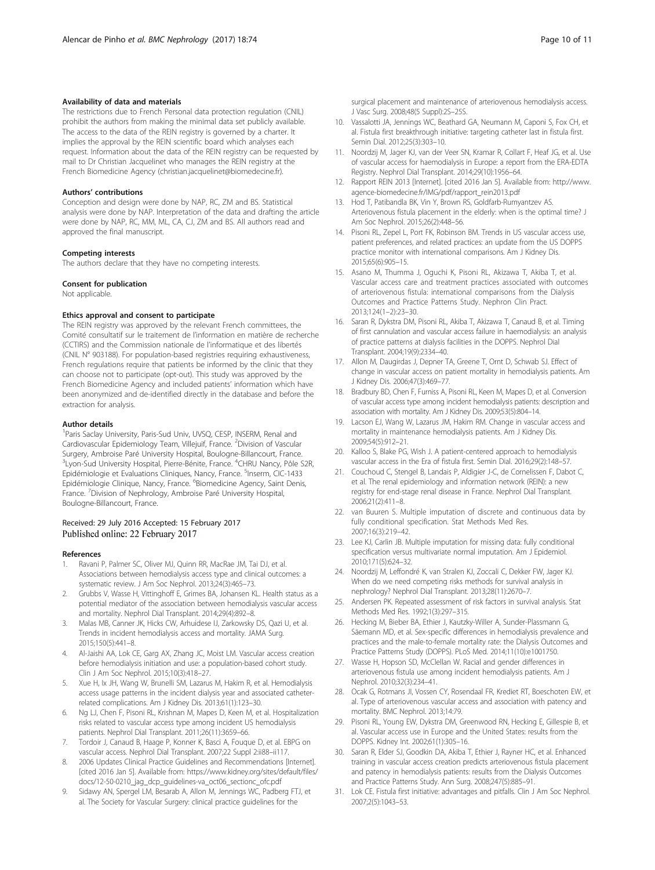## <span id="page-9-0"></span>Availability of data and materials

The restrictions due to French Personal data protection regulation (CNIL) prohibit the authors from making the minimal data set publicly available. The access to the data of the REIN registry is governed by a charter. It implies the approval by the REIN scientific board which analyses each request. Information about the data of the REIN registry can be requested by mail to Dr Christian Jacquelinet who manages the REIN registry at the French Biomedicine Agency (christian.jacquelinet@biomedecine.fr).

#### Authors' contributions

Conception and design were done by NAP, RC, ZM and BS. Statistical analysis were done by NAP. Interpretation of the data and drafting the article were done by NAP, RC, MM, ML, CA, CJ, ZM and BS. All authors read and approved the final manuscript.

#### Competing interests

The authors declare that they have no competing interests.

#### Consent for publication

Not applicable.

### Ethics approval and consent to participate

The REIN registry was approved by the relevant French committees, the Comité consultatif sur le traitement de l'information en matière de recherche (CCTIRS) and the Commission nationale de l'informatique et des libertés (CNIL N° 903188). For population-based registries requiring exhaustiveness, French regulations require that patients be informed by the clinic that they can choose not to participate (opt-out). This study was approved by the French Biomedicine Agency and included patients' information which have been anonymized and de-identified directly in the database and before the extraction for analysis.

#### Author details

<sup>1</sup> Paris Saclay University, Paris-Sud Univ, UVSQ, CESP, INSERM, Renal and Cardiovascular Epidemiology Team, Villejuif, France. <sup>2</sup>Division of Vascular Surgery, Ambroise Paré University Hospital, Boulogne-Billancourt, France. <sup>3</sup>Lyon-Sud University Hospital, Pierre-Bénite, France. <sup>4</sup>CHRU Nancy, Pôle S2R, Epidémiologie et Evaluations Cliniques, Nancy, France. <sup>5</sup>Inserm, CIC-1433 Epidémiologie Clinique, Nancy, France. <sup>6</sup>Biomedicine Agency, Saint Denis, France. <sup>7</sup> Division of Nephrology, Ambroise Paré University Hospital, Boulogne-Billancourt, France.

### Received: 29 July 2016 Accepted: 15 February 2017 Published online: 22 February 2017

#### References

- 1. Ravani P, Palmer SC, Oliver MJ, Quinn RR, MacRae JM, Tai DJ, et al. Associations between hemodialysis access type and clinical outcomes: a systematic review. J Am Soc Nephrol. 2013;24(3):465–73.
- 2. Grubbs V, Wasse H, Vittinghoff E, Grimes BA, Johansen KL. Health status as a potential mediator of the association between hemodialysis vascular access and mortality. Nephrol Dial Transplant. 2014;29(4):892–8.
- Malas MB, Canner JK, Hicks CW, Arhuidese IJ, Zarkowsky DS, Qazi U, et al. Trends in incident hemodialysis access and mortality. JAMA Surg. 2015;150(5):441–8.
- 4. Al-Jaishi AA, Lok CE, Garg AX, Zhang JC, Moist LM. Vascular access creation before hemodialysis initiation and use: a population-based cohort study. Clin J Am Soc Nephrol. 2015;10(3):418–27.
- 5. Xue H, Ix JH, Wang W, Brunelli SM, Lazarus M, Hakim R, et al. Hemodialysis access usage patterns in the incident dialysis year and associated catheterrelated complications. Am J Kidney Dis. 2013;61(1):123–30.
- Ng LJ, Chen F, Pisoni RL, Krishnan M, Mapes D, Keen M, et al. Hospitalization risks related to vascular access type among incident US hemodialysis patients. Nephrol Dial Transplant. 2011;26(11):3659–66.
- 7. Tordoir J, Canaud B, Haage P, Konner K, Basci A, Fouque D, et al. EBPG on vascular access. Nephrol Dial Transplant. 2007;22 Suppl 2:ii88–ii117.
- 2006 Updates Clinical Practice Guidelines and Recommendations [Internet]. [cited 2016 Jan 5]. Available from: [https://www.kidney.org/sites/default/files/](https://www.kidney.org/sites/default/files/docs/12-50-0210_jag_dcp_guidelines-va_oct06_sectionc_ofc.pdf) [docs/12-50-0210\\_jag\\_dcp\\_guidelines-va\\_oct06\\_sectionc\\_ofc.pdf](https://www.kidney.org/sites/default/files/docs/12-50-0210_jag_dcp_guidelines-va_oct06_sectionc_ofc.pdf)
- Sidawy AN, Spergel LM, Besarab A, Allon M, Jennings WC, Padberg FTJ, et al. The Society for Vascular Surgery: clinical practice guidelines for the

surgical placement and maintenance of arteriovenous hemodialysis access. J Vasc Surg. 2008;48(5 Suppl):2S–25S.

- 10. Vassalotti JA, Jennings WC, Beathard GA, Neumann M, Caponi S, Fox CH, et al. Fistula first breakthrough initiative: targeting catheter last in fistula first. Semin Dial. 2012;25(3):303–10.
- 11. Noordzij M, Jager KJ, van der Veer SN, Kramar R, Collart F, Heaf JG, et al. Use of vascular access for haemodialysis in Europe: a report from the ERA-EDTA Registry. Nephrol Dial Transplant. 2014;29(10):1956–64.
- 12. Rapport REIN 2013 [Internet]. [cited 2016 Jan 5]. Available from: [http://www.](http://www.agence-biomedecine.fr/IMG/pdf/rapport_rein2013.pdf) [agence-biomedecine.fr/IMG/pdf/rapport\\_rein2013.pdf](http://www.agence-biomedecine.fr/IMG/pdf/rapport_rein2013.pdf)
- 13. Hod T, Patibandla BK, Vin Y, Brown RS, Goldfarb-Rumyantzev AS. Arteriovenous fistula placement in the elderly: when is the optimal time? J Am Soc Nephrol. 2015;26(2):448–56.
- 14. Pisoni RL, Zepel L, Port FK, Robinson BM. Trends in US vascular access use, patient preferences, and related practices: an update from the US DOPPS practice monitor with international comparisons. Am J Kidney Dis. 2015;65(6):905–15.
- 15. Asano M, Thumma J, Oguchi K, Pisoni RL, Akizawa T, Akiba T, et al. Vascular access care and treatment practices associated with outcomes of arteriovenous fistula: international comparisons from the Dialysis Outcomes and Practice Patterns Study. Nephron Clin Pract. 2013;124(1–2):23–30.
- 16. Saran R, Dykstra DM, Pisoni RL, Akiba T, Akizawa T, Canaud B, et al. Timing of first cannulation and vascular access failure in haemodialysis: an analysis of practice patterns at dialysis facilities in the DOPPS. Nephrol Dial Transplant. 2004;19(9):2334–40.
- 17. Allon M, Daugirdas J, Depner TA, Greene T, Ornt D, Schwab SJ. Effect of change in vascular access on patient mortality in hemodialysis patients. Am J Kidney Dis. 2006;47(3):469–77.
- 18. Bradbury BD, Chen F, Furniss A, Pisoni RL, Keen M, Mapes D, et al. Conversion of vascular access type among incident hemodialysis patients: description and association with mortality. Am J Kidney Dis. 2009;53(5):804–14.
- 19. Lacson EJ, Wang W, Lazarus JM, Hakim RM. Change in vascular access and mortality in maintenance hemodialysis patients. Am J Kidney Dis. 2009;54(5):912–21.
- 20. Kalloo S, Blake PG, Wish J. A patient-centered approach to hemodialysis vascular access in the Era of fistula first. Semin Dial. 2016;29(2):148–57.
- 21. Couchoud C, Stengel B, Landais P, Aldigier J-C, de Cornelissen F, Dabot C, et al. The renal epidemiology and information network (REIN): a new registry for end-stage renal disease in France. Nephrol Dial Transplant. 2006;21(2):411–8.
- 22. van Buuren S. Multiple imputation of discrete and continuous data by fully conditional specification. Stat Methods Med Res. 2007;16(3):219–42.
- 23. Lee KJ, Carlin JB. Multiple imputation for missing data: fully conditional specification versus multivariate normal imputation. Am J Epidemiol. 2010;171(5):624–32.
- 24. Noordzij M, Leffondré K, van Stralen KJ, Zoccali C, Dekker FW, Jager KJ. When do we need competing risks methods for survival analysis in nephrology? Nephrol Dial Transplant. 2013;28(11):2670–7.
- 25. Andersen PK. Repeated assessment of risk factors in survival analysis. Stat Methods Med Res. 1992;1(3):297–315.
- 26. Hecking M, Bieber BA, Ethier J, Kautzky-Willer A, Sunder-Plassmann G, Säemann MD, et al. Sex-specific differences in hemodialysis prevalence and practices and the male-to-female mortality rate: the Dialysis Outcomes and Practice Patterns Study (DOPPS). PLoS Med. 2014;11(10):e1001750.
- 27. Wasse H, Hopson SD, McClellan W. Racial and gender differences in arteriovenous fistula use among incident hemodialysis patients. Am J Nephrol. 2010;32(3):234–41.
- 28. Ocak G, Rotmans JI, Vossen CY, Rosendaal FR, Krediet RT, Boeschoten EW, et al. Type of arteriovenous vascular access and association with patency and mortality. BMC Nephrol. 2013;14:79.
- 29. Pisoni RL, Young EW, Dykstra DM, Greenwood RN, Hecking E, Gillespie B, et al. Vascular access use in Europe and the United States: results from the DOPPS. Kidney Int. 2002;61(1):305–16.
- 30. Saran R, Elder SJ, Goodkin DA, Akiba T, Ethier J, Rayner HC, et al. Enhanced training in vascular access creation predicts arteriovenous fistula placement and patency in hemodialysis patients: results from the Dialysis Outcomes and Practice Patterns Study. Ann Surg. 2008;247(5):885–91.
- 31. Lok CE. Fistula first initiative: advantages and pitfalls. Clin J Am Soc Nephrol. 2007;2(5):1043–53.